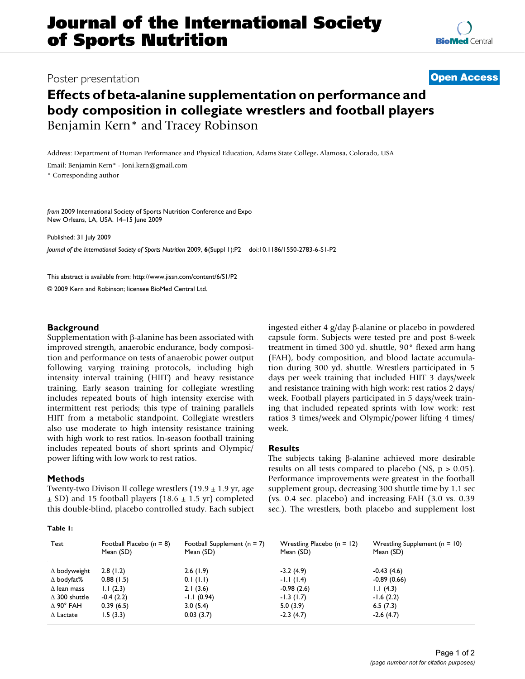# Poster presentation **Contract Contract Contract Contract Contract Contract Contract Contract Contract Contract Contract Contract Contract Contract Contract Contract Contract Contract Contract Contract Contract Contract Con**

# **Effects of beta-alanine supplementation on performance and body composition in collegiate wrestlers and football players** Benjamin Kern\* and Tracey Robinson

Address: Department of Human Performance and Physical Education, Adams State College, Alamosa, Colorado, USA

Email: Benjamin Kern\* - Joni.kern@gmail.com

\* Corresponding author

*from* 2009 International Society of Sports Nutrition Conference and Expo New Orleans, LA, USA. 14–15 June 2009

Published: 31 July 2009

*Journal of the International Society of Sports Nutrition* 2009, **6**(Suppl 1):P2 doi:10.1186/1550-2783-6-S1-P2

[This abstract is available from: http://www.jissn.com/content/6/S1/P2](http://www.jissn.com/content/6/S1/P2)

© 2009 Kern and Robinson; licensee BioMed Central Ltd.

# **Background**

Supplementation with β-alanine has been associated with improved strength, anaerobic endurance, body composition and performance on tests of anaerobic power output following varying training protocols, including high intensity interval training (HIIT) and heavy resistance training. Early season training for collegiate wrestling includes repeated bouts of high intensity exercise with intermittent rest periods; this type of training parallels HIIT from a metabolic standpoint. Collegiate wrestlers also use moderate to high intensity resistance training with high work to rest ratios. In-season football training includes repeated bouts of short sprints and Olympic/ power lifting with low work to rest ratios.

#### **Methods**

Twenty-two Divison II college wrestlers  $(19.9 \pm 1.9 \text{ yr}, \text{age})$  $\pm$  SD) and 15 football players (18.6  $\pm$  1.5 yr) completed this double-blind, placebo controlled study. Each subject

**Table 1:** 

ingested either 4 g/day β-alanine or placebo in powdered capsule form. Subjects were tested pre and post 8-week treatment in timed 300 yd. shuttle, 90° flexed arm hang (FAH), body composition, and blood lactate accumulation during 300 yd. shuttle. Wrestlers participated in 5 days per week training that included HIIT 3 days/week and resistance training with high work: rest ratios 2 days/ week. Football players participated in 5 days/week training that included repeated sprints with low work: rest ratios 3 times/week and Olympic/power lifting 4 times/ week.

### **Results**

The subjects taking β-alanine achieved more desirable results on all tests compared to placebo (NS,  $p > 0.05$ ). Performance improvements were greatest in the football supplement group, decreasing 300 shuttle time by 1.1 sec (vs. 0.4 sec. placebo) and increasing FAH (3.0 vs. 0.39 sec.). The wrestlers, both placebo and supplement lost

| Test                    | Football Placebo $(n = 8)$<br>Mean (SD) | Football Supplement ( $n = 7$ )<br>Mean (SD) | Wrestling Placebo $(n = 12)$<br>Mean (SD) | Wrestling Supplement $(n = 10)$<br>Mean (SD) |
|-------------------------|-----------------------------------------|----------------------------------------------|-------------------------------------------|----------------------------------------------|
| $\Delta$ bodyweight     | 2.8(1.2)                                | 2.6(1.9)                                     | $-3.2(4.9)$                               | $-0.43(4.6)$                                 |
| $\Delta$ bodyfat%       | 0.88(1.5)                               | 0.1(1.1)                                     | $-1.1(1.4)$                               | $-0.89(0.66)$                                |
| $\Delta$ lean mass      | 1.1(2.3)                                | 2.1(3.6)                                     | $-0.98(2.6)$                              | 1.1(4.3)                                     |
| $\triangle$ 300 shuttle | $-0.4(2.2)$                             | $-1.1(0.94)$                                 | $-1.3(1.7)$                               | $-1.6(2.2)$                                  |
| $\Delta$ 90° FAH        | 0.39(6.5)                               | 3.0(5.4)                                     | 5.0(3.9)                                  | 6.5(7.3)                                     |
| $\Delta$ Lactate        | 1.5(3.3)                                | 0.03(3.7)                                    | $-2.3(4.7)$                               | $-2.6(4.7)$                                  |